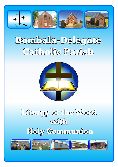

# Bombala-Delegate Catholic Parish



## Liturgy of the Word **WATH** Holy Communion

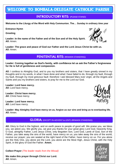## WELCOME TO BOMBALA-DELEGATE CATHOLIC PARISH

### INTRODUCTORY RITE: (PLEASE STAND)

**Welcome to the Liturgy of the Word with Holy Communion. The… Sunday in ordinary time year** 

**Entrance Hymn**

**Greeting**

 **Leader: In the name of the Father and of the Son and of the Holy Spirit. All:** Amen.

**Leader: The grace and peace of God our Father and the Lord Jesus Christ be with us. All:** Amen.

PENITENTIAL RITE: (REMAIN STANDING)

#### **Leader: Coming together as God's family, with confidence let us ask the Father's forgiveness for He is full of gentleness and compassion.**

**All:** I confess to Almighty God, and to you my brothers and sisters, that I have greatly sinned in my thoughts and in my words, in what I have done and what I have failed to do, through my fault, through my fault, through my most grievous fault: therefore I ask blessed Mary ever virgin, all the Angels and Saints and you my brothers and sisters, to pray for me to the Lord our God.

**Leader: Lord have mercy. All:** Lord have mercy.

**Leader: Christ have mercy. All:** Christ have mercy.

**Leader: Lord have mercy. All:** Lord have mercy.

**Leader: May Almighty God have mercy on us, forgive us our sins and bring us to everlasting life. All:** Amen.

#### GLORIA: (EXCEPT IN ADVENT & LENT) (REMAIN STANDING)

**All:** Glory to God in the highest, and on earth peace to people of good will. We praise you, we bless you, we adore you. We glorify you, we give you thanks for your great glory Lord God, heavenly King. O God, almighty Father, Lord Jesus Christ, only Begotten Son, Lord God, Lamb of God, Son of the Father, you take away the sins of the world, have mercy on us; you take away the sins of the world, receive our prayer; you are seated at the right hand of the Father, have mercy on us. For you alone are the Holy One, you alone are the Lord, you alone are the Most High, Jesus Christ, with the Holy Spirit, in the glory of God the Father. **Amen.**

**Collect Prayer** *(The leader reads from the Missal)*

**We make this prayer through Christ our Lord. All:** Amen.





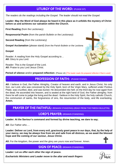## LITURGY OF THE WORD: (PLEASE SIT)

*The readers do the readings including the Gospel. The leader should not read the Gospel.*

**Leader: May the Word of God always be heard in this place as it unfolds the mystery of Christ before us and achieves our salvation within the Church.**

**First Reading** (from the Lectionary)

**Responsorial Psalm** (from the parish Bulletin or the Lectionary)

**Second Reading (from the Lectionary)** 

**Gospel Acclamation** (please stand) (from the Parish Bulletin or the Lectionary

#### **Gospel**

*.*

Reader: A reading from the Holy Gospel according to… **All:** Glory to you Lord.

Reader: This is the Gospel of the Lord. **All:** Praise to you Lord Jesus Christ.



**Period of silence** and/or **prepared reflection:** (Please sit) *(The leader reads the prepared reflection if that is used)*

## PROFESSION OF FAITH:(PLEASE STAND)

**All:** I believe in God, the Father Almighty, Creator of heaven and earth, and in Jesus Christ, his only Son, our Lord, who was conceived by the Holy Spirit, born of the Virgin Mary, suffered under Pontius Pilate, was crucified, died, and was buried. He descended into hell; on the third day he rose again from the dead; He ascended into heaven, and is seated at the right hand of God, the Father almighty; from there he will come to judge the living and the dead. I believe in the Holy Spirit, the holy catholic Church, the communion of saints, the forgiveness of sins, the resurrection of the body, and life everlasting. **Amen.**

PRAYER OF THE FAITHFUL: (REMAIN STANDING) (READ FROM THE PARISH BULLETIN)

#### LORD'S PRAYER: (REMAIN STANDING)

**Leader: At the Saviour's command and formed by divine teaching, we dare to say;**

**All:** Our Father who….

**Leader: Deliver us Lord, from every evil, graciously grant peace in our days, that, by the help of your mercy, we may be always free from sin and safe from all distress, as we await the blessed hope and the coming of our saviour, Jesus Christ.**



**All:** For the kingdom, the power and the glory are yours now and forever. Amen.

## SIGN OF PEACE: (REMAIN STANDING)

**Leader: Let us offer each other the sign of peace.**

*Eucharistic Ministers and Leader move to the altar and wash fingers*